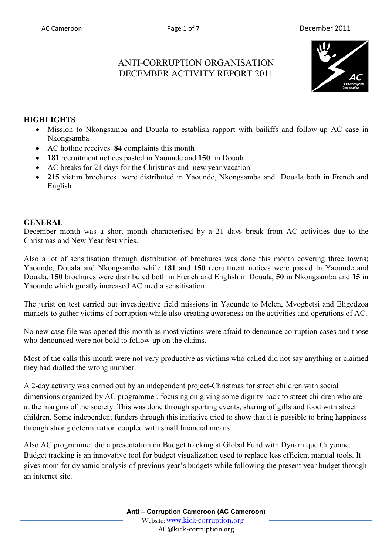# ANTI-CORRUPTION ORGANISATION DECEMBER ACTIVITY REPORT 2011



#### **HIGHLIGHTS**

- Mission to Nkongsamba and Douala to establish rapport with bailiffs and follow-up AC case in Nkongsamba
- AC hotline receives **84** complaints this month
- **181** recruitment notices pasted in Yaounde and **150** in Douala
- AC breaks for 21 days for the Christmas and new year vacation
- **215** victim brochures were distributed in Yaounde, Nkongsamba and Douala both in French and English

#### **GENERAL**

December month was a short month characterised by a 21 days break from AC activities due to the Christmas and New Year festivities.

Also a lot of sensitisation through distribution of brochures was done this month covering three towns; Yaounde, Douala and Nkongsamba while **181** and **150** recruitment notices were pasted in Yaounde and Douala. **150** brochures were distributed both in French and English in Douala, **50** in Nkongsamba and **15** in Yaounde which greatly increased AC media sensitisation.

The jurist on test carried out investigative field missions in Yaounde to Melen, Mvogbetsi and Eligedzoa markets to gather victims of corruption while also creating awareness on the activities and operations of AC.

No new case file was opened this month as most victims were afraid to denounce corruption cases and those who denounced were not bold to follow-up on the claims.

Most of the calls this month were not very productive as victims who called did not say anything or claimed they had dialled the wrong number.

A 2-day activity was carried out by an independent project-Christmas for street children with social dimensions organized by AC programmer, focusing on giving some dignity back to street children who are at the margins of the society. This was done through sporting events, sharing of gifts and food with street children. Some independent funders through this initiative tried to show that it is possible to bring happiness through strong determination coupled with small financial means.

Also AC programmer did a presentation on Budget tracking at Global Fund with Dynamique Cityonne. Budget tracking is an innovative tool for budget visualization used to replace less efficient manual tools. It gives room for dynamic analysis of previous year's budgets while following the present year budget through an internet site.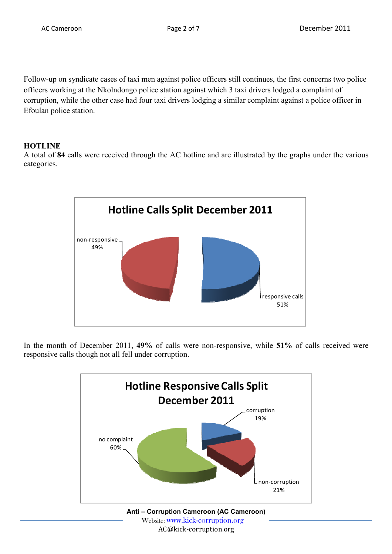Follow-up on syndicate cases of taxi men against police officers still continues, the first concerns two police officers working at the Nkolndongo police station against which 3 taxi drivers lodged a complaint of corruption, while the other case had four taxi drivers lodging a similar complaint against a police officer in Efoulan police station.

# **HOTLINE**

A total of **84** calls were received through the AC hotline and are illustrated by the graphs under the various categories.



In the month of December 2011, **49%** of calls were non-responsive, while **51%** of calls received were responsive calls though not all fell under corruption.

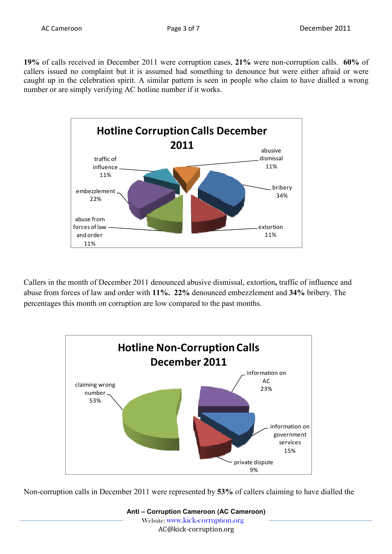**19%** of calls received in December 2011 were corruption cases, **21%** were non-corruption calls. **60%** of callers issued no complaint but it is assumed had something to denounce but were either afraid or were caught up in the celebration spirit. A similar pattern is seen in people who claim to have dialled a wrong number or are simply verifying AC hotline number if it works.



Callers in the month of December 2011 denounced abusive dismissal, extortion**,** traffic of influence and abuse from forces of law and order with **11%. 22%** denounced embezzlement and **34%** bribery. The percentages this month on corruption are low compared to the past months.



Non-corruption calls in December 2011 were represented by **53%** of callers claiming to have dialled the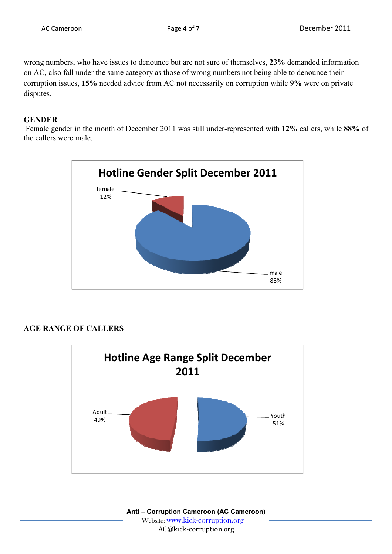wrong numbers, who have issues to denounce but are not sure of themselves, **23%** demanded information on AC, also fall under the same category as those of wrong numbers not being able to denounce their corruption issues, **15%** needed advice from AC not necessarily on corruption while **9%** were on private disputes.

#### **GENDER**

 Female gender in the month of December 2011 was still under-represented with **12%** callers, while **88%** of the callers were male.



# **AGE RANGE OF CALLERS**



**Anti – Corruption Cameroon (AC Cameroon)** Website: www.kick-corruption.org AC@kick-corruption.org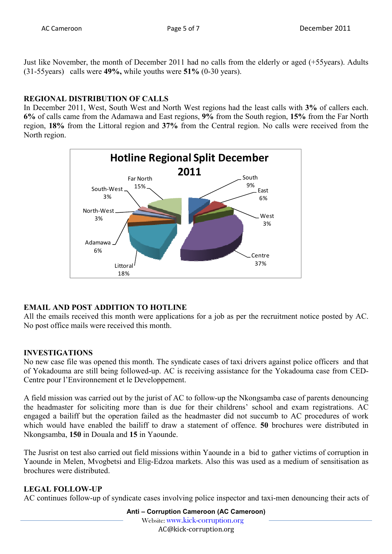Just like November, the month of December 2011 had no calls from the elderly or aged (+55years). Adults (31-55years) calls were **49%,** while youths were **51%** (0-30 years).

# **REGIONAL DISTRIBUTION OF CALLS**

In December 2011, West, South West and North West regions had the least calls with **3%** of callers each. **6%** of calls came from the Adamawa and East regions, **9%** from the South region, **15%** from the Far North region, **18%** from the Littoral region and **37%** from the Central region. No calls were received from the North region.



# **EMAIL AND POST ADDITION TO HOTLINE**

All the emails received this month were applications for a job as per the recruitment notice posted by AC. No post office mails were received this month.

# **INVESTIGATIONS**

No new case file was opened this month. The syndicate cases of taxi drivers against police officers and that of Yokadouma are still being followed-up. AC is receiving assistance for the Yokadouma case from CED-Centre pour l'Environnement et le Developpement.

A field mission was carried out by the jurist of AC to follow-up the Nkongsamba case of parents denouncing the headmaster for soliciting more than is due for their childrens' school and exam registrations. AC engaged a bailiff but the operation failed as the headmaster did not succumb to AC procedures of work which would have enabled the bailiff to draw a statement of offence. **50** brochures were distributed in Nkongsamba, **150** in Douala and **15** in Yaounde.

The Jusrist on test also carried out field missions within Yaounde in a bid to gather victims of corruption in Yaounde in Melen, Mvogbetsi and Elig-Edzoa markets. Also this was used as a medium of sensitisation as brochures were distributed.

# **LEGAL FOLLOW-UP**

AC continues follow-up of syndicate cases involving police inspector and taxi-men denouncing their acts of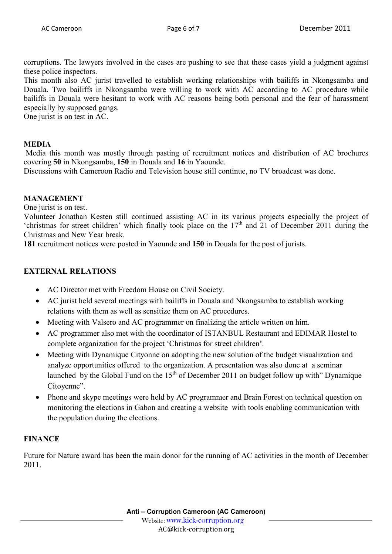corruptions. The lawyers involved in the cases are pushing to see that these cases yield a judgment against these police inspectors.

This month also AC jurist travelled to establish working relationships with bailiffs in Nkongsamba and Douala. Two bailiffs in Nkongsamba were willing to work with AC according to AC procedure while bailiffs in Douala were hesitant to work with AC reasons being both personal and the fear of harassment especially by supposed gangs.

One jurist is on test in AC.

#### **MEDIA**

 Media this month was mostly through pasting of recruitment notices and distribution of AC brochures covering **50** in Nkongsamba, **150** in Douala and **16** in Yaounde.

Discussions with Cameroon Radio and Television house still continue, no TV broadcast was done.

#### **MANAGEMENT**

One jurist is on test.

Volunteer Jonathan Kesten still continued assisting AC in its various projects especially the project of 'christmas for street children' which finally took place on the  $17<sup>th</sup>$  and 21 of December 2011 during the Christmas and New Year break.

**181** recruitment notices were posted in Yaounde and **150** in Douala for the post of jurists.

#### **EXTERNAL RELATIONS**

- AC Director met with Freedom House on Civil Society.
- AC jurist held several meetings with bailiffs in Douala and Nkongsamba to establish working relations with them as well as sensitize them on AC procedures.
- Meeting with Valsero and AC programmer on finalizing the article written on him.
- AC programmer also met with the coordinator of ISTANBUL Restaurant and EDIMAR Hostel to complete organization for the project 'Christmas for street children'.
- Meeting with Dynamique Cityonne on adopting the new solution of the budget visualization and analyze opportunities offered to the organization. A presentation was also done at a seminar launched by the Global Fund on the  $15<sup>th</sup>$  of December 2011 on budget follow up with" Dynamique Citoyenne".
- Phone and skype meetings were held by AC programmer and Brain Forest on technical question on monitoring the elections in Gabon and creating a website with tools enabling communication with the population during the elections.

#### **FINANCE**

Future for Nature award has been the main donor for the running of AC activities in the month of December 2011.